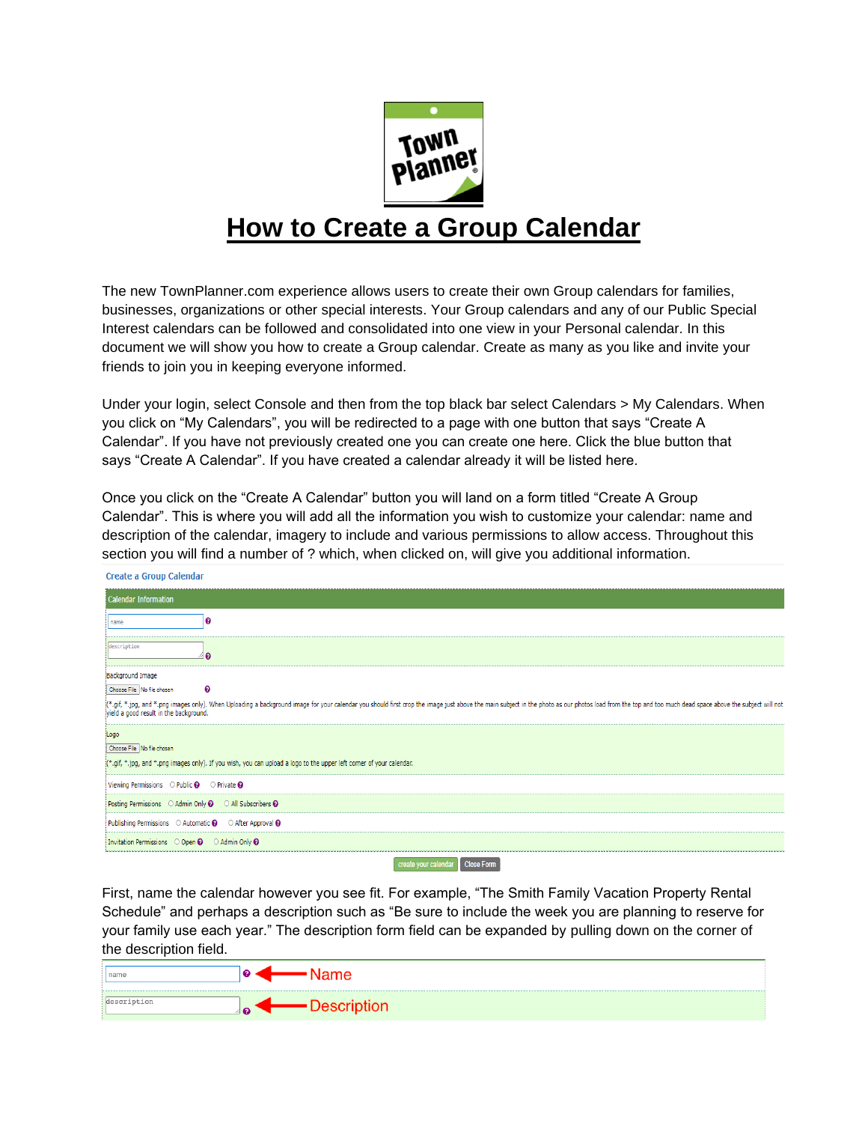

## **How to Create a Group Calendar**

The new TownPlanner.com experience allows users to create their own Group calendars for families, businesses, organizations or other special interests. Your Group calendars and any of our Public Special Interest calendars can be followed and consolidated into one view in your Personal calendar. In this document we will show you how to create a Group calendar. Create as many as you like and invite your friends to join you in keeping everyone informed.

Under your login, select Console and then from the top black bar select Calendars > My Calendars. When you click on "My Calendars", you will be redirected to a page with one button that says "Create A Calendar". If you have not previously created one you can create one here. Click the blue button that says "Create A Calendar". If you have created a calendar already it will be listed here.

Once you click on the "Create A Calendar" button you will land on a form titled "Create A Group Calendar". This is where you will add all the information you wish to customize your calendar: name and description of the calendar, imagery to include and various permissions to allow access. Throughout this section you will find a number of ? which, when clicked on, will give you additional information.

Create a Group Calendar

| Calendar Information                                                                                                                                                                                                           |
|--------------------------------------------------------------------------------------------------------------------------------------------------------------------------------------------------------------------------------|
| name                                                                                                                                                                                                                           |
| description                                                                                                                                                                                                                    |
| Background Image                                                                                                                                                                                                               |
| ❸<br>Choose File No file chosen                                                                                                                                                                                                |
| (*.gif, *.jpg, and *.png images only). When Uploading a background image for your calendar you should first crop the image just above the main subject in the photo as our photos load from the top and too much dead space ab |
| Logo                                                                                                                                                                                                                           |
| Choose File No file chosen                                                                                                                                                                                                     |
| [*.gif, *.jpg, and *.png images only). If you wish, you can upload a logo to the upper left corner of your calendar.                                                                                                           |
| Viewing Permissions $\bigcirc$ Public $\bigcirc$ $\bigcirc$ Private $\bigcirc$                                                                                                                                                 |
| Posting Permissions © Admin Only @ © All Subscribers @                                                                                                                                                                         |
| Publishing Permissions $\bigcirc$ Automatic $\bigcirc$ $\bigcirc$ After Approval $\bigcirc$                                                                                                                                    |
| Invitation Permissions O Open @ O Admin Only @                                                                                                                                                                                 |
| create your calendar Close Form                                                                                                                                                                                                |

First, name the calendar however you see fit. For example, "The Smith Family Vacation Property Rental Schedule" and perhaps a description such as "Be sure to include the week you are planning to reserve for your family use each year." The description form field can be expanded by pulling down on the corner of the description field.

| name |  |
|------|--|
|      |  |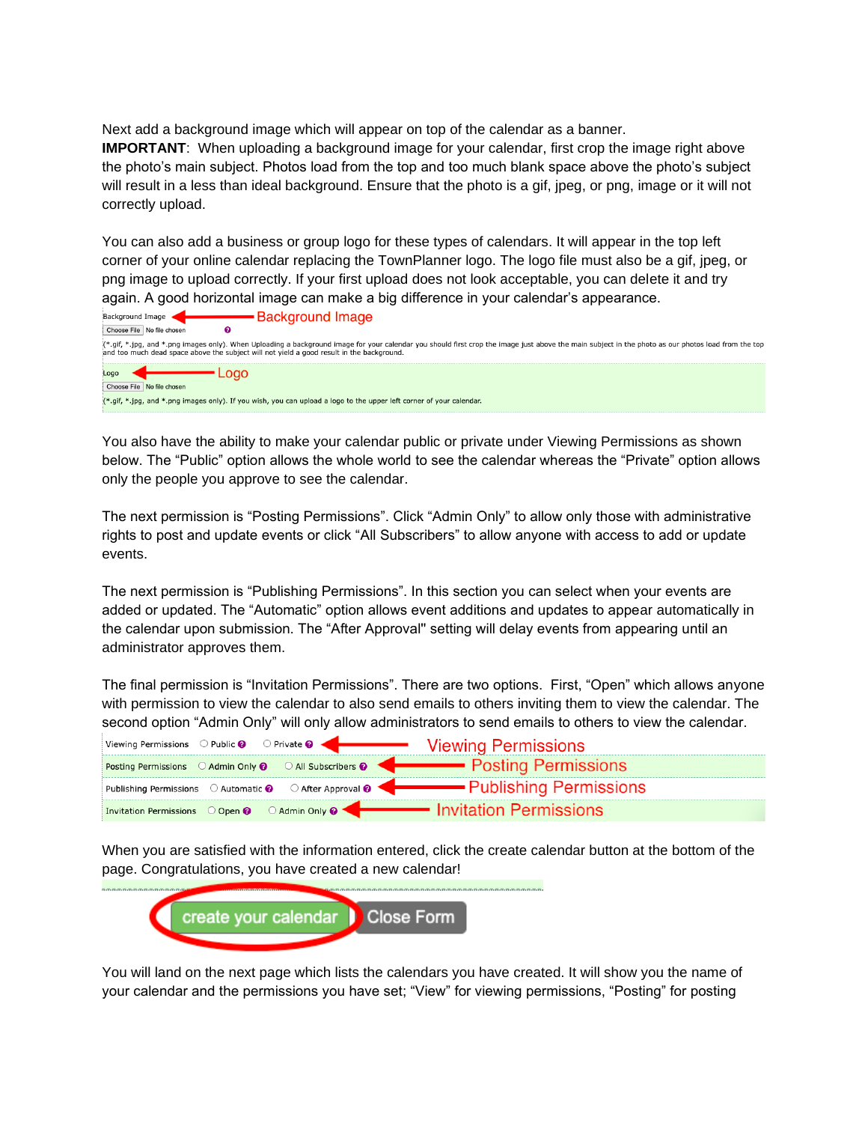Next add a background image which will appear on top of the calendar as a banner. **IMPORTANT**: When uploading a background image for your calendar, first crop the image right above the photo's main subject. Photos load from the top and too much blank space above the photo's subject will result in a less than ideal background. Ensure that the photo is a gif, jpeg, or png, image or it will not correctly upload.

You can also add a business or group logo for these types of calendars. It will appear in the top left corner of your online calendar replacing the TownPlanner logo. The logo file must also be a gif, jpeg, or png image to upload correctly. If your first upload does not look acceptable, you can delete it and try again. A good horizontal image can make a big difference in your calendar's appearance.

| <b>Background Image</b><br>Background Image                                                                                                                                                                                                                                                      |
|--------------------------------------------------------------------------------------------------------------------------------------------------------------------------------------------------------------------------------------------------------------------------------------------------|
| Choose File   No file chosen                                                                                                                                                                                                                                                                     |
| (*.gif, *.jpg, and *.png images only). When Uploading a background image for your calendar you should first crop the image just above the main subject in the photo as our photos load from the top<br>and too much dead space above the subject will not yield a good result in the background. |
| Logo                                                                                                                                                                                                                                                                                             |
| Choose File   No file chosen                                                                                                                                                                                                                                                                     |
| "*.gif, *.jpg, and *.png images only). If you wish, you can upload a logo to the upper left corner of your calendar.                                                                                                                                                                             |

You also have the ability to make your calendar public or private under Viewing Permissions as shown below. The "Public" option allows the whole world to see the calendar whereas the "Private" option allows only the people you approve to see the calendar.

The next permission is "Posting Permissions". Click "Admin Only" to allow only those with administrative rights to post and update events or click "All Subscribers" to allow anyone with access to add or update events.

The next permission is "Publishing Permissions". In this section you can select when your events are added or updated. The "Automatic" option allows event additions and updates to appear automatically in the calendar upon submission. The "After Approval'' setting will delay events from appearing until an administrator approves them.

The final permission is "Invitation Permissions". There are two options. First, "Open" which allows anyone with permission to view the calendar to also send emails to others inviting them to view the calendar. The second option "Admin Only" will only allow administrators to send emails to others to view the calendar.

| Viewing Permissions O Public @ O Private @ <b>Container Section</b> Viewing Permissions                                                                                                                                                                                |  |
|------------------------------------------------------------------------------------------------------------------------------------------------------------------------------------------------------------------------------------------------------------------------|--|
| Posting Permissions C Admin Only @ C All Subscribers @ <b>Conservation Property Posting Permissions</b>                                                                                                                                                                |  |
| Publishing Permissions  O Automatic <b>O</b> After Approval <b>O</b> After Approval <b>O</b> After Approval <b>O</b> After Approval <b>O</b> After Approval <b>O</b> After Approval <b>O</b> After Approval <b>O</b> After Approval <b>O</b> After Approval <b>O</b> A |  |
| Invitation Permissions Open @ CAdmin Only @ <b>Container Permissions</b>                                                                                                                                                                                               |  |

When you are satisfied with the information entered, click the create calendar button at the bottom of the page. Congratulations, you have created a new calendar!



You will land on the next page which lists the calendars you have created. It will show you the name of your calendar and the permissions you have set; "View" for viewing permissions, "Posting" for posting